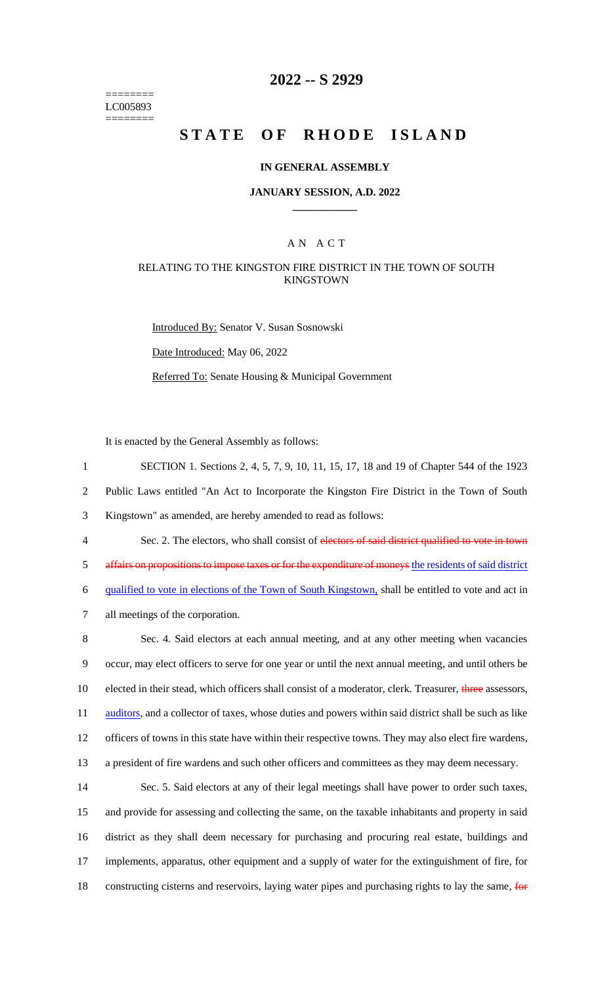======== LC005893 ========

# **2022 -- S 2929**

# **STATE OF RHODE ISLAND**

### **IN GENERAL ASSEMBLY**

### **JANUARY SESSION, A.D. 2022 \_\_\_\_\_\_\_\_\_\_\_\_**

### A N A C T

### RELATING TO THE KINGSTON FIRE DISTRICT IN THE TOWN OF SOUTH KINGSTOWN

Introduced By: Senator V. Susan Sosnowski Date Introduced: May 06, 2022 Referred To: Senate Housing & Municipal Government

It is enacted by the General Assembly as follows:

 SECTION 1. Sections 2, 4, 5, 7, 9, 10, 11, 15, 17, 18 and 19 of Chapter 544 of the 1923 Public Laws entitled "An Act to Incorporate the Kingston Fire District in the Town of South Kingstown" as amended, are hereby amended to read as follows: 4 Sec. 2. The electors, who shall consist of electors of said district qualified to vote in town

5 affairs on propositions to impose taxes or for the expenditure of moneys the residents of said district 6 qualified to vote in elections of the Town of South Kingstown, shall be entitled to vote and act in

7 all meetings of the corporation.

 Sec. 4. Said electors at each annual meeting, and at any other meeting when vacancies occur, may elect officers to serve for one year or until the next annual meeting, and until others be 10 elected in their stead, which officers shall consist of a moderator, clerk. Treasurer, three assessors, 11 auditors, and a collector of taxes, whose duties and powers within said district shall be such as like officers of towns in this state have within their respective towns. They may also elect fire wardens, a president of fire wardens and such other officers and committees as they may deem necessary.

 Sec. 5. Said electors at any of their legal meetings shall have power to order such taxes, and provide for assessing and collecting the same, on the taxable inhabitants and property in said district as they shall deem necessary for purchasing and procuring real estate, buildings and implements, apparatus, other equipment and a supply of water for the extinguishment of fire, for 18 constructing cisterns and reservoirs, laying water pipes and purchasing rights to lay the same, for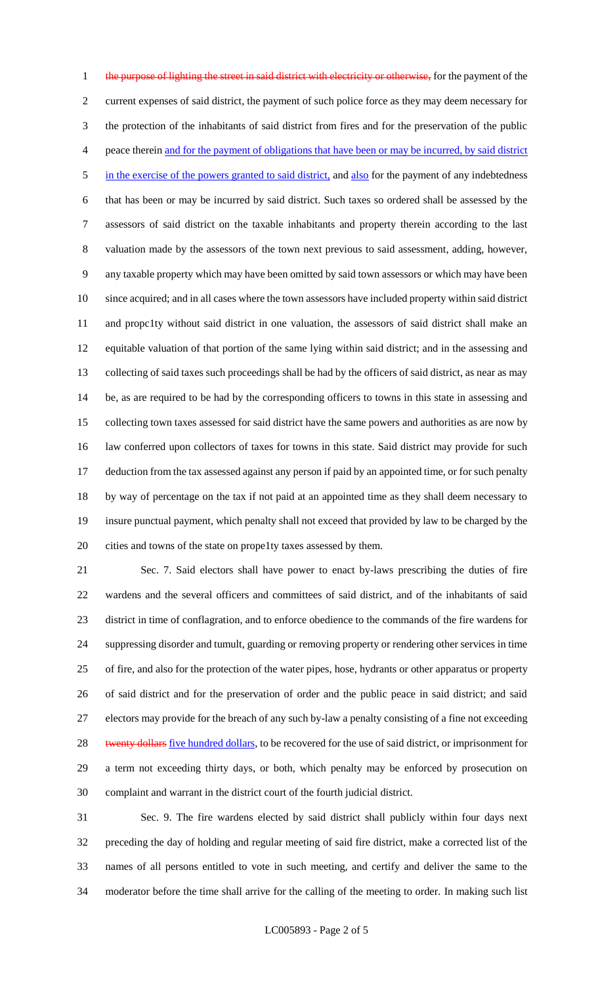1 the purpose of lighting the street in said district with electricity or otherwise, for the payment of the current expenses of said district, the payment of such police force as they may deem necessary for the protection of the inhabitants of said district from fires and for the preservation of the public peace therein and for the payment of obligations that have been or may be incurred, by said district 5 in the exercise of the powers granted to said district, and also for the payment of any indebtedness that has been or may be incurred by said district. Such taxes so ordered shall be assessed by the assessors of said district on the taxable inhabitants and property therein according to the last valuation made by the assessors of the town next previous to said assessment, adding, however, any taxable property which may have been omitted by said town assessors or which may have been since acquired; and in all cases where the town assessors have included property within said district and propc1ty without said district in one valuation, the assessors of said district shall make an equitable valuation of that portion of the same lying within said district; and in the assessing and collecting of said taxes such proceedings shall be had by the officers of said district, as near as may be, as are required to be had by the corresponding officers to towns in this state in assessing and collecting town taxes assessed for said district have the same powers and authorities as are now by law conferred upon collectors of taxes for towns in this state. Said district may provide for such deduction from the tax assessed against any person if paid by an appointed time, or for such penalty by way of percentage on the tax if not paid at an appointed time as they shall deem necessary to insure punctual payment, which penalty shall not exceed that provided by law to be charged by the cities and towns of the state on prope1ty taxes assessed by them.

 Sec. 7. Said electors shall have power to enact by-laws prescribing the duties of fire wardens and the several officers and committees of said district, and of the inhabitants of said district in time of conflagration, and to enforce obedience to the commands of the fire wardens for suppressing disorder and tumult, guarding or removing property or rendering other services in time of fire, and also for the protection of the water pipes, hose, hydrants or other apparatus or property of said district and for the preservation of order and the public peace in said district; and said electors may provide for the breach of any such by-law a penalty consisting of a fine not exceeding 28 twenty dollars five hundred dollars, to be recovered for the use of said district, or imprisonment for a term not exceeding thirty days, or both, which penalty may be enforced by prosecution on complaint and warrant in the district court of the fourth judicial district.

 Sec. 9. The fire wardens elected by said district shall publicly within four days next preceding the day of holding and regular meeting of said fire district, make a corrected list of the names of all persons entitled to vote in such meeting, and certify and deliver the same to the moderator before the time shall arrive for the calling of the meeting to order. In making such list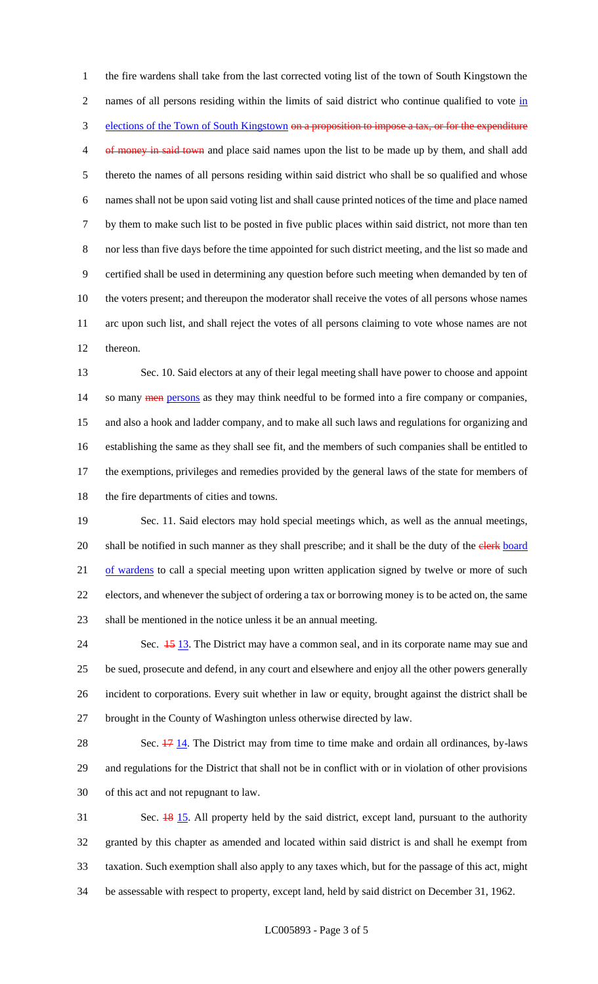the fire wardens shall take from the last corrected voting list of the town of South Kingstown the 2 names of all persons residing within the limits of said district who continue qualified to vote in 3 elections of the Town of South Kingstown on a proposition to impose a tax, or for the expenditure 4 of money in said town and place said names upon the list to be made up by them, and shall add thereto the names of all persons residing within said district who shall be so qualified and whose names shall not be upon said voting list and shall cause printed notices of the time and place named by them to make such list to be posted in five public places within said district, not more than ten nor less than five days before the time appointed for such district meeting, and the list so made and certified shall be used in determining any question before such meeting when demanded by ten of the voters present; and thereupon the moderator shall receive the votes of all persons whose names arc upon such list, and shall reject the votes of all persons claiming to vote whose names are not thereon.

 Sec. 10. Said electors at any of their legal meeting shall have power to choose and appoint 14 so many **men** persons as they may think needful to be formed into a fire company or companies, and also a hook and ladder company, and to make all such laws and regulations for organizing and establishing the same as they shall see fit, and the members of such companies shall be entitled to the exemptions, privileges and remedies provided by the general laws of the state for members of 18 the fire departments of cities and towns.

 Sec. 11. Said electors may hold special meetings which, as well as the annual meetings, 20 shall be notified in such manner as they shall prescribe; and it shall be the duty of the clerk board 21 of wardens to call a special meeting upon written application signed by twelve or more of such electors, and whenever the subject of ordering a tax or borrowing money is to be acted on, the same shall be mentioned in the notice unless it be an annual meeting.

24 Sec.  $\frac{15}{13}$ . The District may have a common seal, and in its corporate name may sue and be sued, prosecute and defend, in any court and elsewhere and enjoy all the other powers generally incident to corporations. Every suit whether in law or equity, brought against the district shall be brought in the County of Washington unless otherwise directed by law.

28 Sec.  $\frac{17}{14}$ . The District may from time to time make and ordain all ordinances, by-laws and regulations for the District that shall not be in conflict with or in violation of other provisions of this act and not repugnant to law.

 Sec. 18 15. All property held by the said district, except land, pursuant to the authority granted by this chapter as amended and located within said district is and shall he exempt from taxation. Such exemption shall also apply to any taxes which, but for the passage of this act, might be assessable with respect to property, except land, held by said district on December 31, 1962.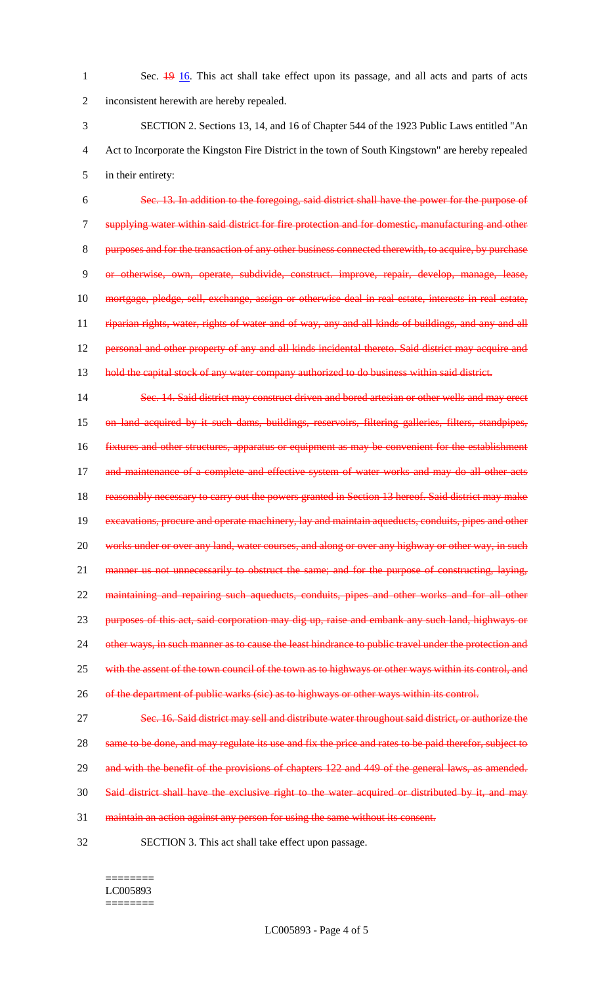1 Sec. 19 16. This act shall take effect upon its passage, and all acts and parts of acts 2 inconsistent herewith are hereby repealed.

3 SECTION 2. Sections 13, 14, and 16 of Chapter 544 of the 1923 Public Laws entitled "An 4 Act to Incorporate the Kingston Fire District in the town of South Kingstown" are hereby repealed 5 in their entirety:

 Sec. 13. In addition to the foregoing, said district shall have the power for the purpose of supplying water within said district for fire protection and for domestic, manufacturing and other purposes and for the transaction of any other business connected therewith, to acquire, by purchase or otherwise, own, operate, subdivide, construct. improve, repair, develop, manage, lease, mortgage, pledge, sell, exchange, assign or otherwise deal in real estate, interests in real estate, 11 riparian rights, water, rights of water and of way, any and all kinds of buildings, and any and all 12 personal and other property of any and all kinds incidental thereto. Said district may acquire and 13 hold the capital stock of any water company authorized to do business within said district.

14 Sec. 14. Said district may construct driven and bored artesian or other wells and may erect 15 on land acquired by it such dams, buildings, reservoirs, filtering galleries, filters, standpipes, 16 fixtures and other structures, apparatus or equipment as may be convenient for the establishment 17 and maintenance of a complete and effective system of water works and may do all other acts 18 reasonably necessary to carry out the powers granted in Section 13 hereof. Said district may make 19 excavations, procure and operate machinery, lay and maintain aqueducts, conduits, pipes and other 20 works under or over any land, water courses, and along or over any highway or other way, in such 21 manner us not unnecessarily to obstruct the same; and for the purpose of constructing, laying, 22 maintaining and repairing such aqueducts, conduits, pipes and other works and for all other 23 purposes of this act, said corporation may dig up, raise and embank any such land, highways or 24 other ways, in such manner as to cause the least hindrance to public travel under the protection and 25 with the assent of the town council of the town as to highways or other ways within its control, and 26 of the department of public warks (sic) as to highways or other ways within its control.

27 Sec. 16. Said district may sell and distribute water throughout said district, or authorize the 28 same to be done, and may regulate its use and fix the price and rates to be paid therefor, subject to 29 and with the benefit of the provisions of chapters 122 and 449 of the general laws, as amended. 30 Said district shall have the exclusive right to the water acquired or distributed by it, and may

31 maintain an action against any person for using the same without its consent.

32 SECTION 3. This act shall take effect upon passage.

#### ======== LC005893 ========